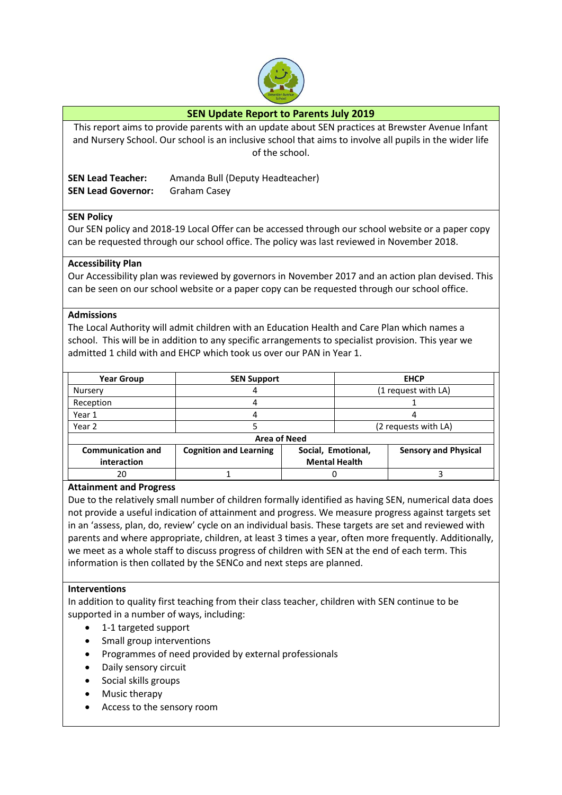

# **SEN Update Report to Parents July 2019**

This report aims to provide parents with an update about SEN practices at Brewster Avenue Infant and Nursery School. Our school is an inclusive school that aims to involve all pupils in the wider life of the school.

**SEN Lead Teacher:** Amanda Bull (Deputy Headteacher) **SEN Lead Governor:** Graham Casey

### **SEN Policy**

Our SEN policy and 2018-19 Local Offer can be accessed through our school website or a paper copy can be requested through our school office. The policy was last reviewed in November 2018.

#### **Accessibility Plan**

Our Accessibility plan was reviewed by governors in November 2017 and an action plan devised. This can be seen on our school website or a paper copy can be requested through our school office.

#### **Admissions**

The Local Authority will admit children with an Education Health and Care Plan which names a school. This will be in addition to any specific arrangements to specialist provision. This year we admitted 1 child with and EHCP which took us over our PAN in Year 1.

| <b>Year Group</b>                       | <b>SEN Support</b>            |                                            | <b>EHCP</b>          |                             |
|-----------------------------------------|-------------------------------|--------------------------------------------|----------------------|-----------------------------|
| Nursery                                 |                               |                                            | (1 request with LA)  |                             |
| Reception                               |                               |                                            |                      |                             |
| Year 1                                  |                               |                                            |                      |                             |
| Year 2                                  |                               |                                            | (2 requests with LA) |                             |
| <b>Area of Need</b>                     |                               |                                            |                      |                             |
| <b>Communication and</b><br>interaction | <b>Cognition and Learning</b> | Social, Emotional,<br><b>Mental Health</b> |                      | <b>Sensory and Physical</b> |
| 20                                      |                               |                                            |                      |                             |

### **Attainment and Progress**

Due to the relatively small number of children formally identified as having SEN, numerical data does not provide a useful indication of attainment and progress. We measure progress against targets set in an 'assess, plan, do, review' cycle on an individual basis. These targets are set and reviewed with parents and where appropriate, children, at least 3 times a year, often more frequently. Additionally, we meet as a whole staff to discuss progress of children with SEN at the end of each term. This information is then collated by the SENCo and next steps are planned.

#### **Interventions**

In addition to quality first teaching from their class teacher, children with SEN continue to be supported in a number of ways, including:

- 1-1 targeted support
- Small group interventions
- Programmes of need provided by external professionals
- Daily sensory circuit
- Social skills groups
- Music therapy
- Access to the sensory room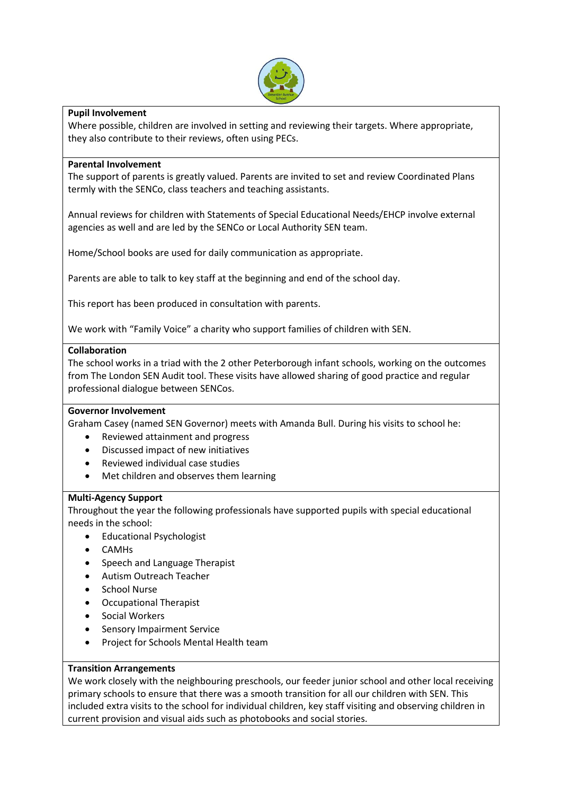

# **Pupil Involvement**

Where possible, children are involved in setting and reviewing their targets. Where appropriate, they also contribute to their reviews, often using PECs.

#### **Parental Involvement**

The support of parents is greatly valued. Parents are invited to set and review Coordinated Plans termly with the SENCo, class teachers and teaching assistants.

Annual reviews for children with Statements of Special Educational Needs/EHCP involve external agencies as well and are led by the SENCo or Local Authority SEN team.

Home/School books are used for daily communication as appropriate.

Parents are able to talk to key staff at the beginning and end of the school day.

This report has been produced in consultation with parents.

We work with "Family Voice" a charity who support families of children with SEN.

### **Collaboration**

The school works in a triad with the 2 other Peterborough infant schools, working on the outcomes from The London SEN Audit tool. These visits have allowed sharing of good practice and regular professional dialogue between SENCos.

### **Governor Involvement**

Graham Casey (named SEN Governor) meets with Amanda Bull. During his visits to school he:

- Reviewed attainment and progress
- Discussed impact of new initiatives
- Reviewed individual case studies
- Met children and observes them learning

### **Multi-Agency Support**

Throughout the year the following professionals have supported pupils with special educational needs in the school:

- Educational Psychologist
- CAMHs
- Speech and Language Therapist
- Autism Outreach Teacher
- School Nurse
- Occupational Therapist
- Social Workers
- Sensory Impairment Service
- Project for Schools Mental Health team

### **Transition Arrangements**

We work closely with the neighbouring preschools, our feeder junior school and other local receiving primary schools to ensure that there was a smooth transition for all our children with SEN. This included extra visits to the school for individual children, key staff visiting and observing children in current provision and visual aids such as photobooks and social stories.